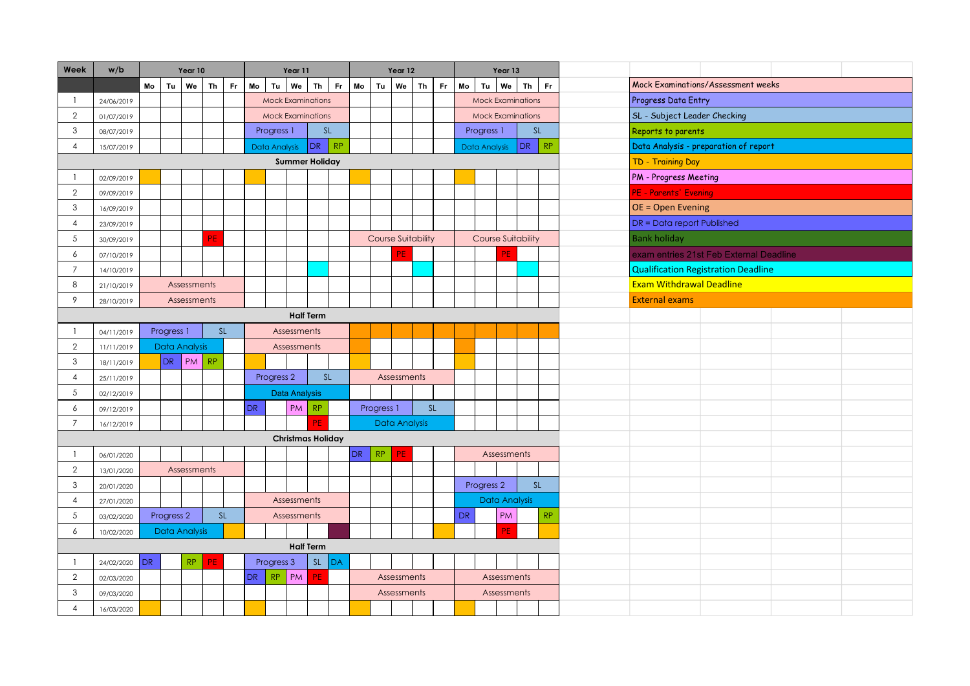| Week           | w/b        |     |                       | Year 10              |    |           |               |                       | Year 11                  |                  |                                             |    |            | Year 12                   |           |     |           |                       | Year 13                   |           |                                   |                                         |
|----------------|------------|-----|-----------------------|----------------------|----|-----------|---------------|-----------------------|--------------------------|------------------|---------------------------------------------|----|------------|---------------------------|-----------|-----|-----------|-----------------------|---------------------------|-----------|-----------------------------------|-----------------------------------------|
|                |            | Mo  | Tu                    | We                   | Th | Fr        | Mo            |                       | Tu   We                  | Th               | Fr.                                         | Mo | Tu         | We                        | Th        | Fr. | Mo        | Tu l                  | We <sup>1</sup>           | <b>Th</b> | Fr.                               | Mock Examinations/Assessment weeks      |
|                | 24/06/2019 |     |                       |                      |    |           |               |                       | <b>Mock Examinations</b> |                  |                                             |    |            |                           |           |     |           |                       | <b>Mock Examinations</b>  |           |                                   | Progress Data Entry                     |
| $\overline{2}$ | 01/07/2019 |     |                       |                      |    |           |               |                       | <b>Mock Examinations</b> |                  |                                             |    |            |                           |           |     |           |                       | <b>Mock Examinations</b>  |           |                                   | SL - Subject Leader Checking            |
| 3              | 08/07/2019 |     |                       |                      |    |           |               | Progress 1            |                          |                  | $\mathsf{SL}% _{2}\left( \mathbb{Z}\right)$ |    |            |                           |           |     |           | Progress 1            |                           |           | SL                                | Reports to parents                      |
| $\overline{4}$ | 15/07/2019 |     |                       |                      |    |           | Data Analysis |                       |                          | DR               | RP                                          |    |            |                           |           |     |           | Data Analysis         |                           | DR        | RP                                | Data Analysis - preparation of report   |
|                |            |     |                       |                      |    |           |               |                       | <b>Summer Holiday</b>    |                  |                                             |    |            |                           |           |     |           |                       |                           |           |                                   | TD - Training Day                       |
|                | 02/09/2019 |     |                       |                      |    |           |               |                       |                          |                  |                                             |    |            |                           |           |     |           |                       |                           |           |                                   | <b>PM</b> - Progress Meeting            |
| $\overline{2}$ | 09/09/2019 |     |                       |                      |    |           |               |                       |                          |                  |                                             |    |            |                           |           |     |           |                       |                           |           |                                   | <b>PE - Parents' Evening</b>            |
| $\mathsf 3$    | 16/09/2019 |     |                       |                      |    |           |               |                       |                          |                  |                                             |    |            |                           |           |     |           |                       |                           |           |                                   | OE = Open Evening                       |
| $\overline{4}$ | 23/09/2019 |     |                       |                      |    |           |               |                       |                          |                  |                                             |    |            |                           |           |     |           |                       |                           |           |                                   | <b>DR</b> = Data report Published       |
| 5              | 30/09/2019 |     |                       |                      | ÞЕ |           |               |                       |                          |                  |                                             |    |            | <b>Course Suitability</b> |           |     |           |                       | <b>Course Suitability</b> |           |                                   | <b>Bank holiday</b>                     |
| 6              | 07/10/2019 |     |                       |                      |    |           |               |                       |                          |                  |                                             |    |            |                           |           |     |           |                       | PF                        |           |                                   | exam entries 21st Feb External Deadline |
| $\overline{7}$ | 14/10/2019 |     |                       |                      |    |           |               |                       |                          |                  |                                             |    |            |                           |           |     |           |                       |                           |           |                                   | Qualification Registration Deadline     |
| 8              | 21/10/2019 |     |                       | Assessments          |    |           |               |                       |                          |                  |                                             |    |            |                           |           |     |           |                       |                           |           |                                   | <b>Exam Withdrawal Deadline</b>         |
| 9              | 28/10/2019 |     |                       | Assessments          |    |           |               |                       |                          |                  |                                             |    |            |                           |           |     |           |                       |                           |           |                                   | <b>External exams</b>                   |
|                |            |     |                       |                      |    |           |               |                       |                          | <b>Half Term</b> |                                             |    |            |                           |           |     |           |                       |                           |           |                                   |                                         |
|                | 04/11/2019 |     | Progress 1            |                      |    | SL        |               |                       | Assessments              |                  |                                             |    |            |                           |           |     |           |                       |                           |           |                                   |                                         |
| $\overline{2}$ | 11/11/2019 |     |                       | <b>Data Analysis</b> |    |           |               |                       | Assessments              |                  |                                             |    |            |                           |           |     |           |                       |                           |           |                                   |                                         |
| 3              | 18/11/2019 |     | DR                    | PM                   | RP |           |               |                       |                          |                  |                                             |    |            |                           |           |     |           |                       |                           |           |                                   |                                         |
| 4              | 25/11/2019 |     |                       |                      |    |           |               | Progress <sub>2</sub> |                          |                  | SL                                          |    |            | Assessments               |           |     |           |                       |                           |           |                                   |                                         |
| 5              | 02/12/2019 |     |                       |                      |    |           |               |                       | <b>Data Analysis</b>     |                  |                                             |    |            |                           |           |     |           |                       |                           |           |                                   |                                         |
| 6              | 09/12/2019 |     |                       |                      |    |           | ${\sf DR}$    |                       | PM                       | RP               |                                             |    | Progress 1 |                           | <b>SL</b> |     |           |                       |                           |           |                                   |                                         |
| $\overline{7}$ | 16/12/2019 |     |                       |                      |    |           |               |                       |                          | PF               |                                             |    |            | <b>Data Analysis</b>      |           |     |           |                       |                           |           |                                   |                                         |
|                |            |     |                       |                      |    |           |               |                       |                          |                  | <b>Christmas Holiday</b>                    |    |            |                           |           |     |           |                       |                           |           |                                   |                                         |
|                | 06/01/2020 |     |                       |                      |    |           |               |                       |                          |                  |                                             | DR | RP         | PF                        |           |     |           |                       | Assessments               |           |                                   |                                         |
| $\overline{2}$ | 13/01/2020 |     |                       | Assessments          |    |           |               |                       |                          |                  |                                             |    |            |                           |           |     |           |                       |                           |           |                                   |                                         |
| $\mathbf{3}$   | 20/01/2020 |     |                       |                      |    |           |               |                       |                          |                  |                                             |    |            |                           |           |     |           | Progress <sub>2</sub> |                           | SL        |                                   |                                         |
| $\overline{4}$ | 27/01/2020 |     |                       |                      |    |           |               |                       | Assessments              |                  |                                             |    |            |                           |           |     |           |                       | Data Analysis             |           |                                   |                                         |
| 5              | 03/02/2020 |     | Progress <sub>2</sub> |                      |    | <b>SL</b> |               |                       | Assessments              |                  |                                             |    |            |                           |           |     | <b>DR</b> |                       | <b>PM</b>                 |           | $\ensuremath{\mathsf{RP}}\xspace$ |                                         |
| 6              | 10/02/2020 |     |                       | Data Analysis        |    |           |               |                       |                          |                  |                                             |    |            |                           |           |     |           |                       | PF                        |           |                                   |                                         |
|                |            |     |                       |                      |    |           |               |                       | <b>Half Term</b>         |                  |                                             |    |            |                           |           |     |           |                       |                           |           |                                   |                                         |
|                | 24/02/2020 | DR. |                       | RP                   |    |           |               | Progress 3            |                          | SL               | DA                                          |    |            |                           |           |     |           |                       |                           |           |                                   |                                         |
| $\overline{2}$ | 02/03/2020 |     |                       |                      |    |           | DR.           | RP                    | PM                       | PE               |                                             |    |            | Assessments               |           |     |           |                       | Assessments               |           |                                   |                                         |
| 3              | 09/03/2020 |     |                       |                      |    |           |               |                       |                          |                  |                                             |    |            | Assessments               |           |     |           |                       | Assessments               |           |                                   |                                         |
| 4              | 16/03/2020 |     |                       |                      |    |           |               |                       |                          |                  |                                             |    |            |                           |           |     |           |                       |                           |           |                                   |                                         |